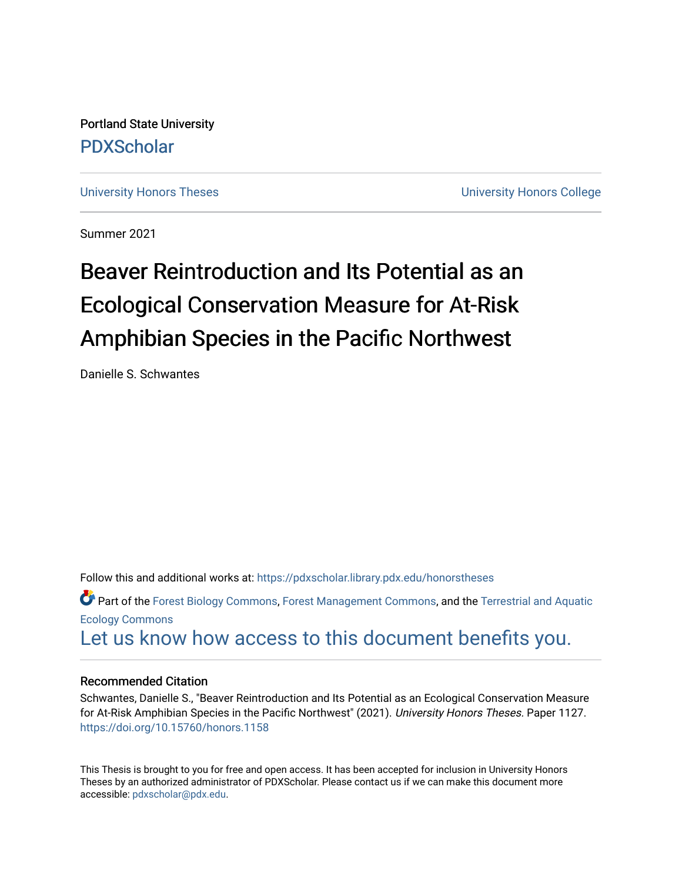Portland State University [PDXScholar](https://pdxscholar.library.pdx.edu/)

[University Honors Theses](https://pdxscholar.library.pdx.edu/honorstheses) **University Honors College** 

Summer 2021

# Beaver Reintroduction and Its Potential as an Ecological Conservation Measure for At-Risk Amphibian Species in the Pacific Northwest

Danielle S. Schwantes

Follow this and additional works at: [https://pdxscholar.library.pdx.edu/honorstheses](https://pdxscholar.library.pdx.edu/honorstheses?utm_source=pdxscholar.library.pdx.edu%2Fhonorstheses%2F1127&utm_medium=PDF&utm_campaign=PDFCoverPages) 

Part of the [Forest Biology Commons](http://network.bepress.com/hgg/discipline/91?utm_source=pdxscholar.library.pdx.edu%2Fhonorstheses%2F1127&utm_medium=PDF&utm_campaign=PDFCoverPages), [Forest Management Commons,](http://network.bepress.com/hgg/discipline/92?utm_source=pdxscholar.library.pdx.edu%2Fhonorstheses%2F1127&utm_medium=PDF&utm_campaign=PDFCoverPages) and the [Terrestrial and Aquatic](http://network.bepress.com/hgg/discipline/20?utm_source=pdxscholar.library.pdx.edu%2Fhonorstheses%2F1127&utm_medium=PDF&utm_campaign=PDFCoverPages) [Ecology Commons](http://network.bepress.com/hgg/discipline/20?utm_source=pdxscholar.library.pdx.edu%2Fhonorstheses%2F1127&utm_medium=PDF&utm_campaign=PDFCoverPages) 

[Let us know how access to this document benefits you.](http://library.pdx.edu/services/pdxscholar-services/pdxscholar-feedback/) 

#### Recommended Citation

Schwantes, Danielle S., "Beaver Reintroduction and Its Potential as an Ecological Conservation Measure for At-Risk Amphibian Species in the Pacific Northwest" (2021). University Honors Theses. Paper 1127. <https://doi.org/10.15760/honors.1158>

This Thesis is brought to you for free and open access. It has been accepted for inclusion in University Honors Theses by an authorized administrator of PDXScholar. Please contact us if we can make this document more accessible: [pdxscholar@pdx.edu.](mailto:pdxscholar@pdx.edu)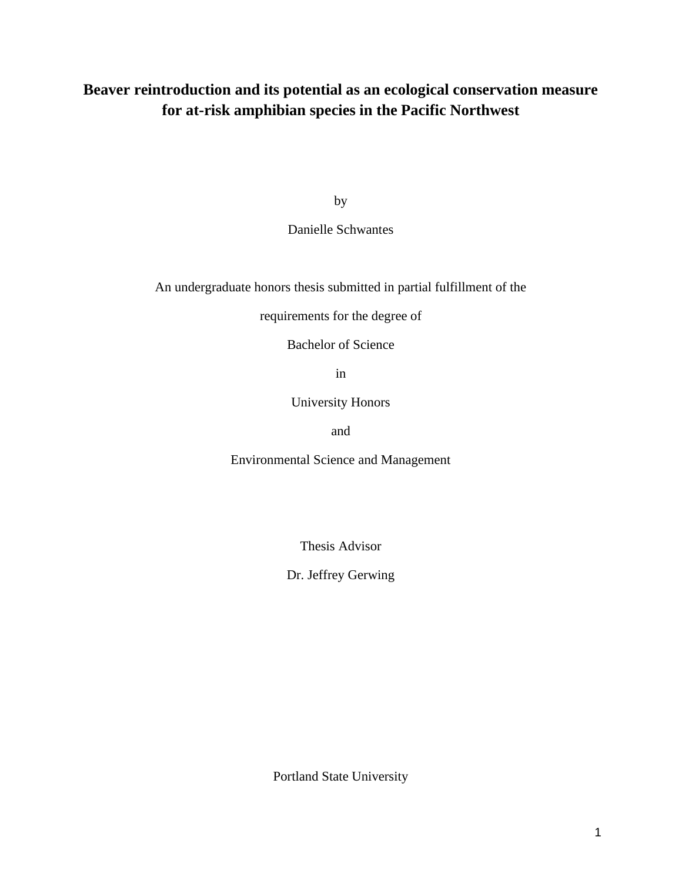## **Beaver reintroduction and its potential as an ecological conservation measure for at-risk amphibian species in the Pacific Northwest**

by

## Danielle Schwantes

An undergraduate honors thesis submitted in partial fulfillment of the

requirements for the degree of

Bachelor of Science

in

University Honors

and

Environmental Science and Management

Thesis Advisor

Dr. Jeffrey Gerwing

Portland State University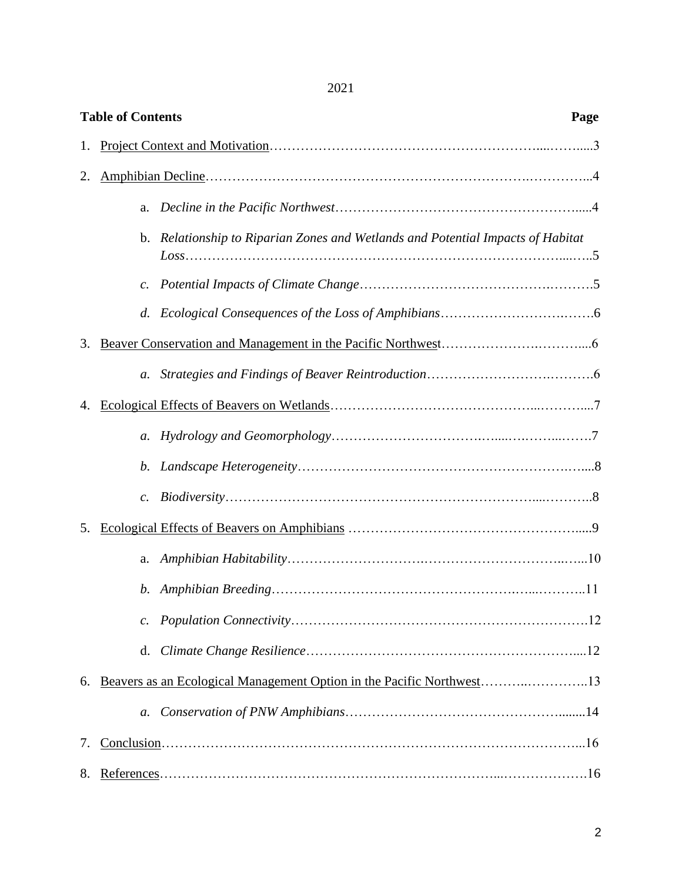2021

| <b>Table of Contents</b><br>Page |                 |                                                                                 |  |  |  |  |  |
|----------------------------------|-----------------|---------------------------------------------------------------------------------|--|--|--|--|--|
| 1.                               |                 |                                                                                 |  |  |  |  |  |
| 2.                               |                 |                                                                                 |  |  |  |  |  |
|                                  | a.              |                                                                                 |  |  |  |  |  |
|                                  |                 | b. Relationship to Riparian Zones and Wetlands and Potential Impacts of Habitat |  |  |  |  |  |
|                                  | c.              |                                                                                 |  |  |  |  |  |
|                                  | d.              |                                                                                 |  |  |  |  |  |
| 3.                               |                 |                                                                                 |  |  |  |  |  |
|                                  |                 |                                                                                 |  |  |  |  |  |
|                                  |                 |                                                                                 |  |  |  |  |  |
|                                  | $a$ .           |                                                                                 |  |  |  |  |  |
|                                  | b.              |                                                                                 |  |  |  |  |  |
|                                  | $\mathcal{C}$ . |                                                                                 |  |  |  |  |  |
| 5.                               |                 |                                                                                 |  |  |  |  |  |
|                                  | a.              |                                                                                 |  |  |  |  |  |
|                                  | b.              |                                                                                 |  |  |  |  |  |
|                                  | $\mathcal{C}$ . |                                                                                 |  |  |  |  |  |
|                                  |                 |                                                                                 |  |  |  |  |  |
| 6.                               |                 |                                                                                 |  |  |  |  |  |
|                                  | $a$ .           |                                                                                 |  |  |  |  |  |
| 7.                               |                 |                                                                                 |  |  |  |  |  |
| 8.                               |                 |                                                                                 |  |  |  |  |  |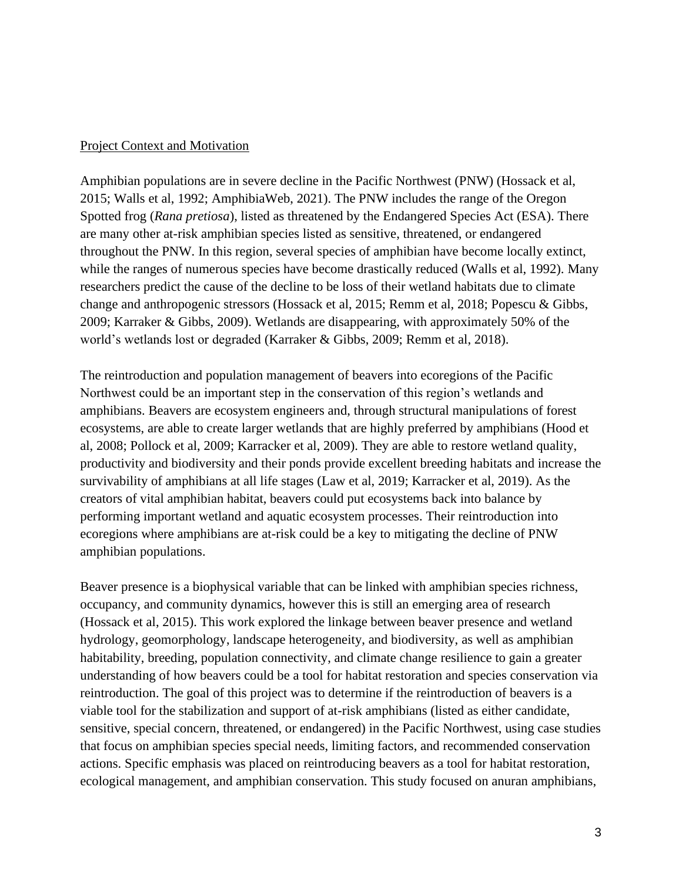#### Project Context and Motivation

Amphibian populations are in severe decline in the Pacific Northwest (PNW) (Hossack et al, 2015; Walls et al, 1992; AmphibiaWeb, 2021). The PNW includes the range of the Oregon Spotted frog (*Rana pretiosa*), listed as threatened by the Endangered Species Act (ESA). There are many other at-risk amphibian species listed as sensitive, threatened, or endangered throughout the PNW. In this region, several species of amphibian have become locally extinct, while the ranges of numerous species have become drastically reduced (Walls et al, 1992). Many researchers predict the cause of the decline to be loss of their wetland habitats due to climate change and anthropogenic stressors (Hossack et al, 2015; Remm et al, 2018; Popescu & Gibbs, 2009; Karraker & Gibbs, 2009). Wetlands are disappearing, with approximately 50% of the world's wetlands lost or degraded (Karraker & Gibbs, 2009; Remm et al, 2018).

The reintroduction and population management of beavers into ecoregions of the Pacific Northwest could be an important step in the conservation of this region's wetlands and amphibians. Beavers are ecosystem engineers and, through structural manipulations of forest ecosystems, are able to create larger wetlands that are highly preferred by amphibians (Hood et al, 2008; Pollock et al, 2009; Karracker et al, 2009). They are able to restore wetland quality, productivity and biodiversity and their ponds provide excellent breeding habitats and increase the survivability of amphibians at all life stages (Law et al, 2019; Karracker et al, 2019). As the creators of vital amphibian habitat, beavers could put ecosystems back into balance by performing important wetland and aquatic ecosystem processes. Their reintroduction into ecoregions where amphibians are at-risk could be a key to mitigating the decline of PNW amphibian populations.

Beaver presence is a biophysical variable that can be linked with amphibian species richness, occupancy, and community dynamics, however this is still an emerging area of research (Hossack et al, 2015). This work explored the linkage between beaver presence and wetland hydrology, geomorphology, landscape heterogeneity, and biodiversity, as well as amphibian habitability, breeding, population connectivity, and climate change resilience to gain a greater understanding of how beavers could be a tool for habitat restoration and species conservation via reintroduction. The goal of this project was to determine if the reintroduction of beavers is a viable tool for the stabilization and support of at-risk amphibians (listed as either candidate, sensitive, special concern, threatened, or endangered) in the Pacific Northwest, using case studies that focus on amphibian species special needs, limiting factors, and recommended conservation actions. Specific emphasis was placed on reintroducing beavers as a tool for habitat restoration, ecological management, and amphibian conservation. This study focused on anuran amphibians,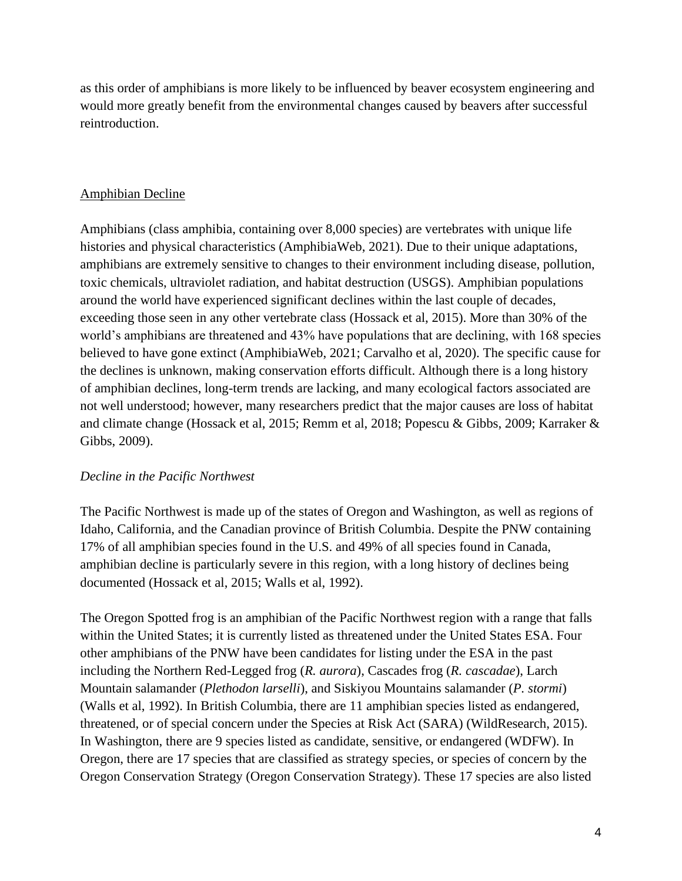as this order of amphibians is more likely to be influenced by beaver ecosystem engineering and would more greatly benefit from the environmental changes caused by beavers after successful reintroduction.

## Amphibian Decline

Amphibians (class amphibia, containing over 8,000 species) are vertebrates with unique life histories and physical characteristics (AmphibiaWeb, 2021). Due to their unique adaptations, amphibians are extremely sensitive to changes to their environment including disease, pollution, toxic chemicals, ultraviolet radiation, and habitat destruction (USGS). Amphibian populations around the world have experienced significant declines within the last couple of decades, exceeding those seen in any other vertebrate class (Hossack et al, 2015). More than 30% of the world's amphibians are threatened and 43% have populations that are declining, with 168 species believed to have gone extinct (AmphibiaWeb, 2021; Carvalho et al, 2020). The specific cause for the declines is unknown, making conservation efforts difficult. Although there is a long history of amphibian declines, long-term trends are lacking, and many ecological factors associated are not well understood; however, many researchers predict that the major causes are loss of habitat and climate change (Hossack et al, 2015; Remm et al, 2018; Popescu & Gibbs, 2009; Karraker & Gibbs, 2009).

## *Decline in the Pacific Northwest*

The Pacific Northwest is made up of the states of Oregon and Washington, as well as regions of Idaho, California, and the Canadian province of British Columbia. Despite the PNW containing 17% of all amphibian species found in the U.S. and 49% of all species found in Canada, amphibian decline is particularly severe in this region, with a long history of declines being documented (Hossack et al, 2015; Walls et al, 1992).

The Oregon Spotted frog is an amphibian of the Pacific Northwest region with a range that falls within the United States; it is currently listed as threatened under the United States ESA. Four other amphibians of the PNW have been candidates for listing under the ESA in the past including the Northern Red-Legged frog (*R. aurora*), Cascades frog (*R. cascadae*), Larch Mountain salamander (*Plethodon larselli*), and Siskiyou Mountains salamander (*P. stormi*) (Walls et al, 1992). In British Columbia, there are 11 amphibian species listed as endangered, threatened, or of special concern under the Species at Risk Act (SARA) (WildResearch, 2015). In Washington, there are 9 species listed as candidate, sensitive, or endangered (WDFW). In Oregon, there are 17 species that are classified as strategy species, or species of concern by the Oregon Conservation Strategy (Oregon Conservation Strategy). These 17 species are also listed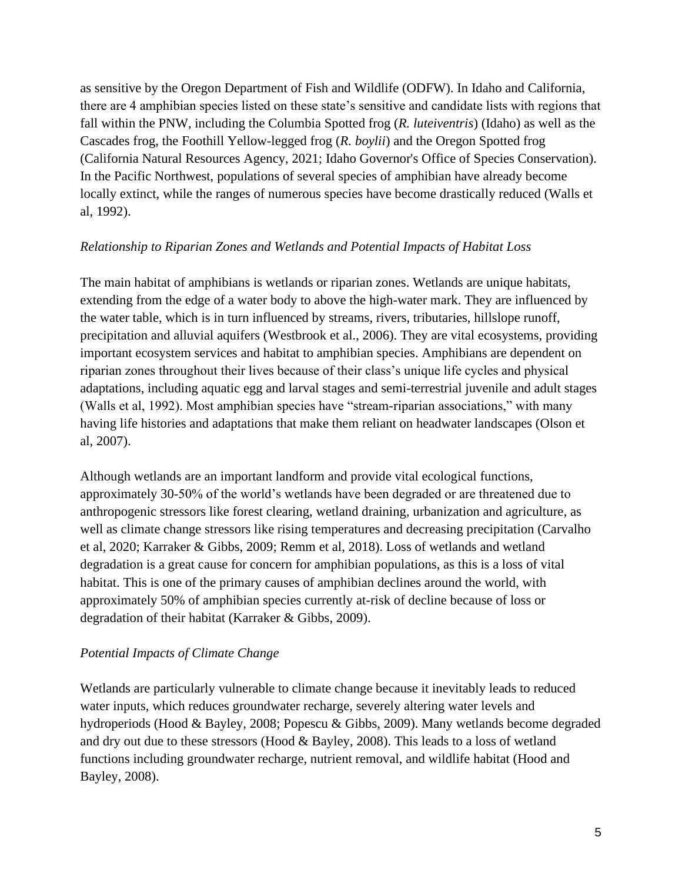as sensitive by the Oregon Department of Fish and Wildlife (ODFW). In Idaho and California, there are 4 amphibian species listed on these state's sensitive and candidate lists with regions that fall within the PNW, including the Columbia Spotted frog (*R. luteiventris*) (Idaho) as well as the Cascades frog, the Foothill Yellow-legged frog (*R. boylii*) and the Oregon Spotted frog (California Natural Resources Agency, 2021; Idaho Governor's Office of Species Conservation). In the Pacific Northwest, populations of several species of amphibian have already become locally extinct, while the ranges of numerous species have become drastically reduced (Walls et al, 1992).

#### *Relationship to Riparian Zones and Wetlands and Potential Impacts of Habitat Loss*

The main habitat of amphibians is wetlands or riparian zones. Wetlands are unique habitats, extending from the edge of a water body to above the high-water mark. They are influenced by the water table, which is in turn influenced by streams, rivers, tributaries, hillslope runoff, precipitation and alluvial aquifers (Westbrook et al., 2006). They are vital ecosystems, providing important ecosystem services and habitat to amphibian species. Amphibians are dependent on riparian zones throughout their lives because of their class's unique life cycles and physical adaptations, including aquatic egg and larval stages and semi-terrestrial juvenile and adult stages (Walls et al, 1992). Most amphibian species have "stream-riparian associations," with many having life histories and adaptations that make them reliant on headwater landscapes (Olson et al, 2007).

Although wetlands are an important landform and provide vital ecological functions, approximately 30-50% of the world's wetlands have been degraded or are threatened due to anthropogenic stressors like forest clearing, wetland draining, urbanization and agriculture, as well as climate change stressors like rising temperatures and decreasing precipitation (Carvalho et al, 2020; Karraker & Gibbs, 2009; Remm et al, 2018). Loss of wetlands and wetland degradation is a great cause for concern for amphibian populations, as this is a loss of vital habitat. This is one of the primary causes of amphibian declines around the world, with approximately 50% of amphibian species currently at-risk of decline because of loss or degradation of their habitat (Karraker & Gibbs, 2009).

## *Potential Impacts of Climate Change*

Wetlands are particularly vulnerable to climate change because it inevitably leads to reduced water inputs, which reduces groundwater recharge, severely altering water levels and hydroperiods (Hood & Bayley, 2008; Popescu & Gibbs, 2009). Many wetlands become degraded and dry out due to these stressors (Hood & Bayley, 2008). This leads to a loss of wetland functions including groundwater recharge, nutrient removal, and wildlife habitat (Hood and Bayley, 2008).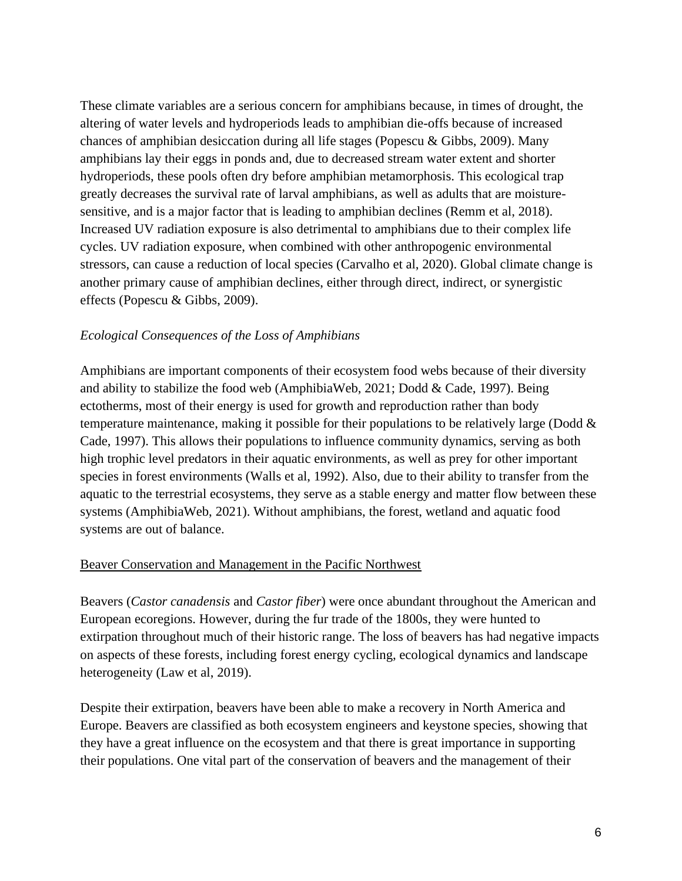These climate variables are a serious concern for amphibians because, in times of drought, the altering of water levels and hydroperiods leads to amphibian die-offs because of increased chances of amphibian desiccation during all life stages (Popescu & Gibbs, 2009). Many amphibians lay their eggs in ponds and, due to decreased stream water extent and shorter hydroperiods, these pools often dry before amphibian metamorphosis. This ecological trap greatly decreases the survival rate of larval amphibians, as well as adults that are moisturesensitive, and is a major factor that is leading to amphibian declines (Remm et al, 2018). Increased UV radiation exposure is also detrimental to amphibians due to their complex life cycles. UV radiation exposure, when combined with other anthropogenic environmental stressors, can cause a reduction of local species (Carvalho et al, 2020). Global climate change is another primary cause of amphibian declines, either through direct, indirect, or synergistic effects (Popescu & Gibbs, 2009).

#### *Ecological Consequences of the Loss of Amphibians*

Amphibians are important components of their ecosystem food webs because of their diversity and ability to stabilize the food web (AmphibiaWeb, 2021; Dodd & Cade, 1997). Being ectotherms, most of their energy is used for growth and reproduction rather than body temperature maintenance, making it possible for their populations to be relatively large (Dodd & Cade, 1997). This allows their populations to influence community dynamics, serving as both high trophic level predators in their aquatic environments, as well as prey for other important species in forest environments (Walls et al, 1992). Also, due to their ability to transfer from the aquatic to the terrestrial ecosystems, they serve as a stable energy and matter flow between these systems (AmphibiaWeb, 2021). Without amphibians, the forest, wetland and aquatic food systems are out of balance.

#### Beaver Conservation and Management in the Pacific Northwest

Beavers (*Castor canadensis* and *Castor fiber*) were once abundant throughout the American and European ecoregions. However, during the fur trade of the 1800s, they were hunted to extirpation throughout much of their historic range. The loss of beavers has had negative impacts on aspects of these forests, including forest energy cycling, ecological dynamics and landscape heterogeneity (Law et al, 2019).

Despite their extirpation, beavers have been able to make a recovery in North America and Europe. Beavers are classified as both ecosystem engineers and keystone species, showing that they have a great influence on the ecosystem and that there is great importance in supporting their populations. One vital part of the conservation of beavers and the management of their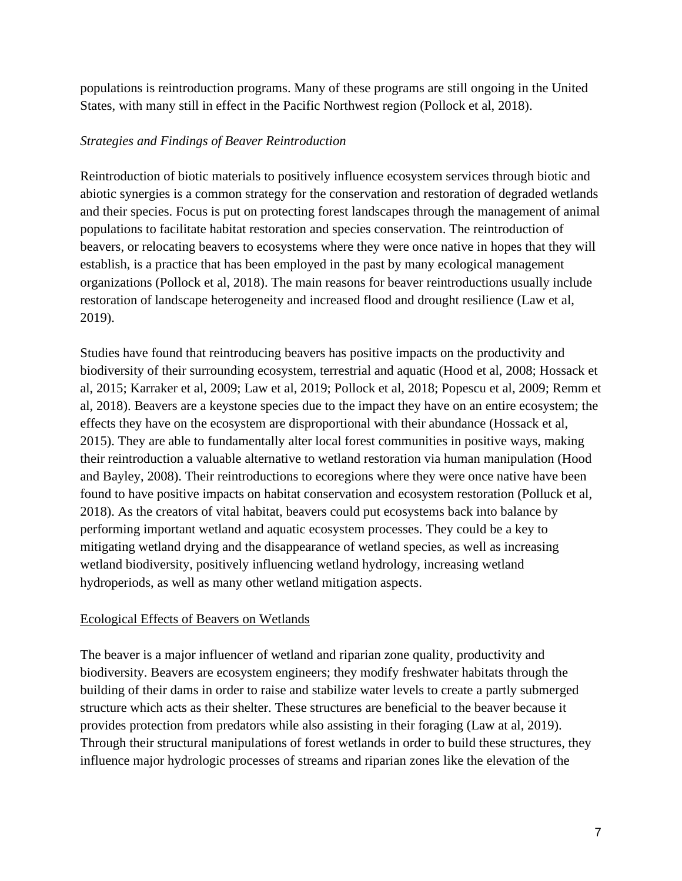populations is reintroduction programs. Many of these programs are still ongoing in the United States, with many still in effect in the Pacific Northwest region (Pollock et al, 2018).

#### *Strategies and Findings of Beaver Reintroduction*

Reintroduction of biotic materials to positively influence ecosystem services through biotic and abiotic synergies is a common strategy for the conservation and restoration of degraded wetlands and their species. Focus is put on protecting forest landscapes through the management of animal populations to facilitate habitat restoration and species conservation. The reintroduction of beavers, or relocating beavers to ecosystems where they were once native in hopes that they will establish, is a practice that has been employed in the past by many ecological management organizations (Pollock et al, 2018). The main reasons for beaver reintroductions usually include restoration of landscape heterogeneity and increased flood and drought resilience (Law et al, 2019).

Studies have found that reintroducing beavers has positive impacts on the productivity and biodiversity of their surrounding ecosystem, terrestrial and aquatic (Hood et al, 2008; Hossack et al, 2015; Karraker et al, 2009; Law et al, 2019; Pollock et al, 2018; Popescu et al, 2009; Remm et al, 2018). Beavers are a keystone species due to the impact they have on an entire ecosystem; the effects they have on the ecosystem are disproportional with their abundance (Hossack et al, 2015). They are able to fundamentally alter local forest communities in positive ways, making their reintroduction a valuable alternative to wetland restoration via human manipulation (Hood and Bayley, 2008). Their reintroductions to ecoregions where they were once native have been found to have positive impacts on habitat conservation and ecosystem restoration (Polluck et al, 2018). As the creators of vital habitat, beavers could put ecosystems back into balance by performing important wetland and aquatic ecosystem processes. They could be a key to mitigating wetland drying and the disappearance of wetland species, as well as increasing wetland biodiversity, positively influencing wetland hydrology, increasing wetland hydroperiods, as well as many other wetland mitigation aspects.

## Ecological Effects of Beavers on Wetlands

The beaver is a major influencer of wetland and riparian zone quality, productivity and biodiversity. Beavers are ecosystem engineers; they modify freshwater habitats through the building of their dams in order to raise and stabilize water levels to create a partly submerged structure which acts as their shelter. These structures are beneficial to the beaver because it provides protection from predators while also assisting in their foraging (Law at al, 2019). Through their structural manipulations of forest wetlands in order to build these structures, they influence major hydrologic processes of streams and riparian zones like the elevation of the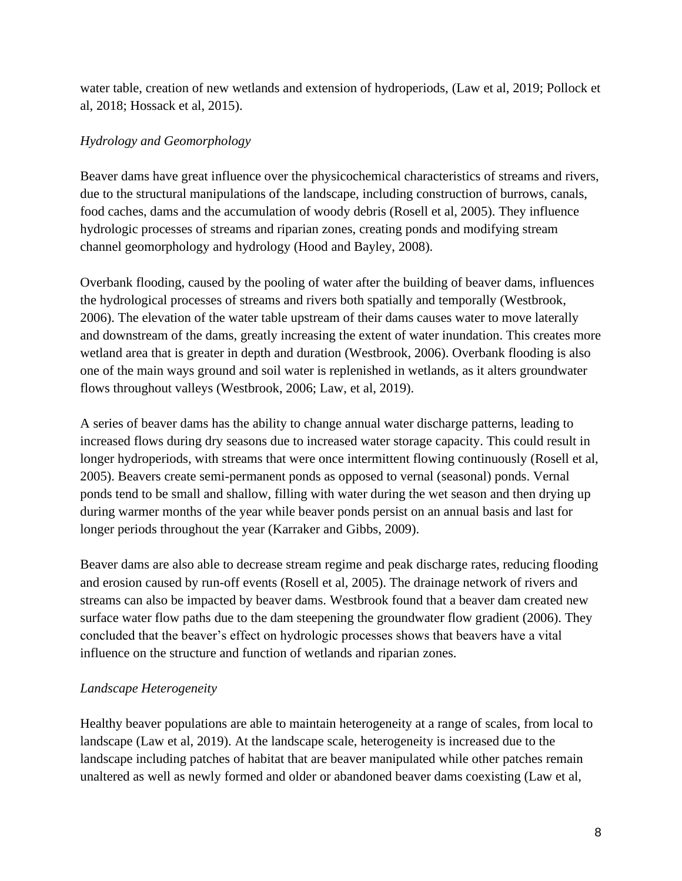water table, creation of new wetlands and extension of hydroperiods, (Law et al, 2019; Pollock et al, 2018; Hossack et al, 2015).

## *Hydrology and Geomorphology*

Beaver dams have great influence over the physicochemical characteristics of streams and rivers, due to the structural manipulations of the landscape, including construction of burrows, canals, food caches, dams and the accumulation of woody debris (Rosell et al, 2005). They influence hydrologic processes of streams and riparian zones, creating ponds and modifying stream channel geomorphology and hydrology (Hood and Bayley, 2008).

Overbank flooding, caused by the pooling of water after the building of beaver dams, influences the hydrological processes of streams and rivers both spatially and temporally (Westbrook, 2006). The elevation of the water table upstream of their dams causes water to move laterally and downstream of the dams, greatly increasing the extent of water inundation. This creates more wetland area that is greater in depth and duration (Westbrook, 2006). Overbank flooding is also one of the main ways ground and soil water is replenished in wetlands, as it alters groundwater flows throughout valleys (Westbrook, 2006; Law, et al, 2019).

A series of beaver dams has the ability to change annual water discharge patterns, leading to increased flows during dry seasons due to increased water storage capacity. This could result in longer hydroperiods, with streams that were once intermittent flowing continuously (Rosell et al, 2005). Beavers create semi-permanent ponds as opposed to vernal (seasonal) ponds. Vernal ponds tend to be small and shallow, filling with water during the wet season and then drying up during warmer months of the year while beaver ponds persist on an annual basis and last for longer periods throughout the year (Karraker and Gibbs, 2009).

Beaver dams are also able to decrease stream regime and peak discharge rates, reducing flooding and erosion caused by run-off events (Rosell et al, 2005). The drainage network of rivers and streams can also be impacted by beaver dams. Westbrook found that a beaver dam created new surface water flow paths due to the dam steepening the groundwater flow gradient (2006). They concluded that the beaver's effect on hydrologic processes shows that beavers have a vital influence on the structure and function of wetlands and riparian zones.

## *Landscape Heterogeneity*

Healthy beaver populations are able to maintain heterogeneity at a range of scales, from local to landscape (Law et al, 2019). At the landscape scale, heterogeneity is increased due to the landscape including patches of habitat that are beaver manipulated while other patches remain unaltered as well as newly formed and older or abandoned beaver dams coexisting (Law et al,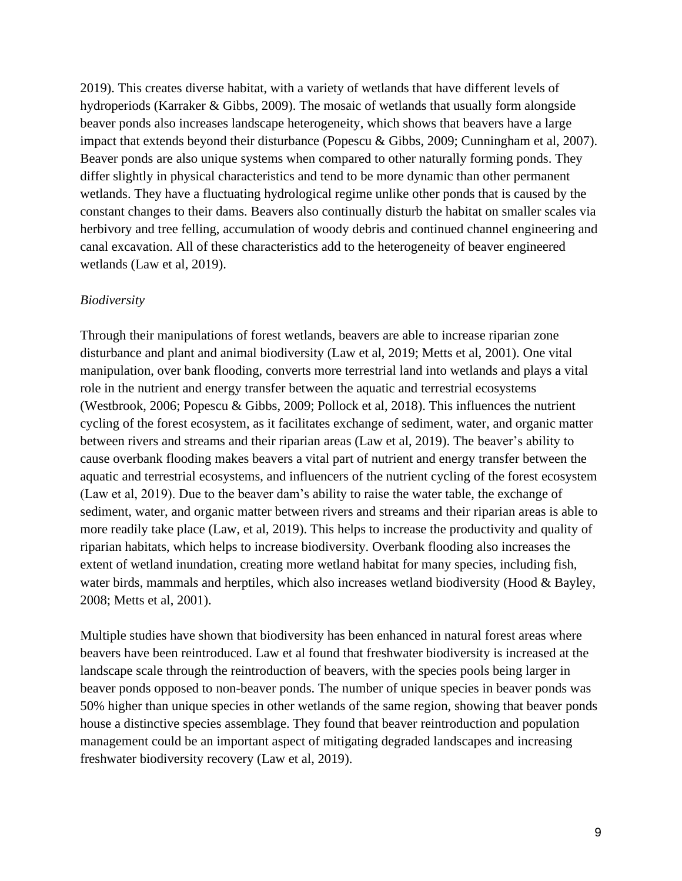2019). This creates diverse habitat, with a variety of wetlands that have different levels of hydroperiods (Karraker & Gibbs, 2009). The mosaic of wetlands that usually form alongside beaver ponds also increases landscape heterogeneity, which shows that beavers have a large impact that extends beyond their disturbance (Popescu & Gibbs, 2009; Cunningham et al, 2007). Beaver ponds are also unique systems when compared to other naturally forming ponds. They differ slightly in physical characteristics and tend to be more dynamic than other permanent wetlands. They have a fluctuating hydrological regime unlike other ponds that is caused by the constant changes to their dams. Beavers also continually disturb the habitat on smaller scales via herbivory and tree felling, accumulation of woody debris and continued channel engineering and canal excavation. All of these characteristics add to the heterogeneity of beaver engineered wetlands (Law et al, 2019).

#### *Biodiversity*

Through their manipulations of forest wetlands, beavers are able to increase riparian zone disturbance and plant and animal biodiversity (Law et al, 2019; Metts et al, 2001). One vital manipulation, over bank flooding, converts more terrestrial land into wetlands and plays a vital role in the nutrient and energy transfer between the aquatic and terrestrial ecosystems (Westbrook, 2006; Popescu & Gibbs, 2009; Pollock et al, 2018). This influences the nutrient cycling of the forest ecosystem, as it facilitates exchange of sediment, water, and organic matter between rivers and streams and their riparian areas (Law et al, 2019). The beaver's ability to cause overbank flooding makes beavers a vital part of nutrient and energy transfer between the aquatic and terrestrial ecosystems, and influencers of the nutrient cycling of the forest ecosystem (Law et al, 2019). Due to the beaver dam's ability to raise the water table, the exchange of sediment, water, and organic matter between rivers and streams and their riparian areas is able to more readily take place (Law, et al, 2019). This helps to increase the productivity and quality of riparian habitats, which helps to increase biodiversity. Overbank flooding also increases the extent of wetland inundation, creating more wetland habitat for many species, including fish, water birds, mammals and herptiles, which also increases wetland biodiversity (Hood & Bayley, 2008; Metts et al, 2001).

Multiple studies have shown that biodiversity has been enhanced in natural forest areas where beavers have been reintroduced. Law et al found that freshwater biodiversity is increased at the landscape scale through the reintroduction of beavers, with the species pools being larger in beaver ponds opposed to non-beaver ponds. The number of unique species in beaver ponds was 50% higher than unique species in other wetlands of the same region, showing that beaver ponds house a distinctive species assemblage. They found that beaver reintroduction and population management could be an important aspect of mitigating degraded landscapes and increasing freshwater biodiversity recovery (Law et al, 2019).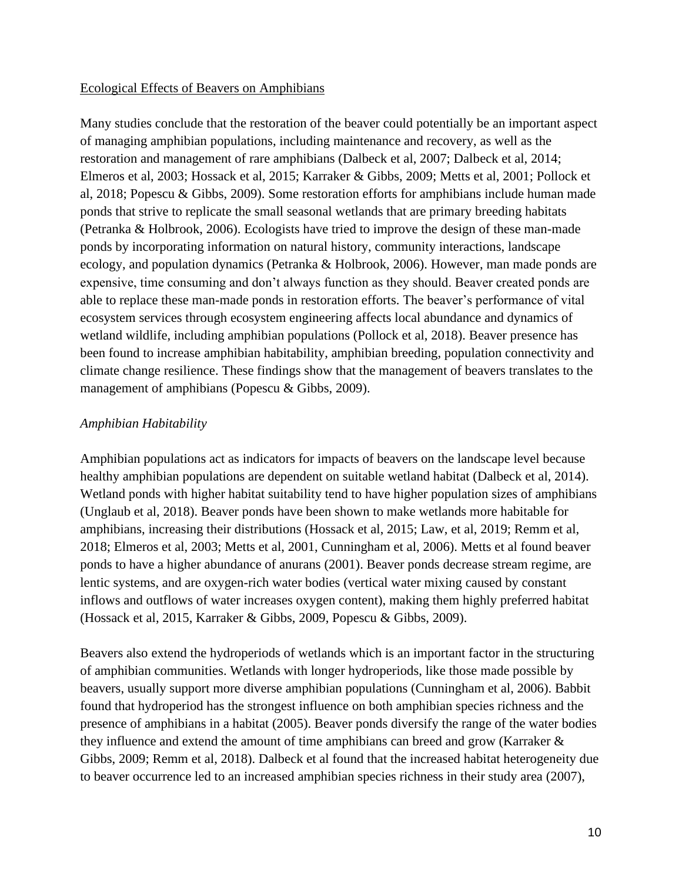#### Ecological Effects of Beavers on Amphibians

Many studies conclude that the restoration of the beaver could potentially be an important aspect of managing amphibian populations, including maintenance and recovery, as well as the restoration and management of rare amphibians (Dalbeck et al, 2007; Dalbeck et al, 2014; Elmeros et al, 2003; Hossack et al, 2015; Karraker & Gibbs, 2009; Metts et al, 2001; Pollock et al, 2018; Popescu & Gibbs, 2009). Some restoration efforts for amphibians include human made ponds that strive to replicate the small seasonal wetlands that are primary breeding habitats (Petranka & Holbrook, 2006). Ecologists have tried to improve the design of these man-made ponds by incorporating information on natural history, community interactions, landscape ecology, and population dynamics (Petranka & Holbrook, 2006). However, man made ponds are expensive, time consuming and don't always function as they should. Beaver created ponds are able to replace these man-made ponds in restoration efforts. The beaver's performance of vital ecosystem services through ecosystem engineering affects local abundance and dynamics of wetland wildlife, including amphibian populations (Pollock et al, 2018). Beaver presence has been found to increase amphibian habitability, amphibian breeding, population connectivity and climate change resilience. These findings show that the management of beavers translates to the management of amphibians (Popescu & Gibbs, 2009).

## *Amphibian Habitability*

Amphibian populations act as indicators for impacts of beavers on the landscape level because healthy amphibian populations are dependent on suitable wetland habitat (Dalbeck et al, 2014). Wetland ponds with higher habitat suitability tend to have higher population sizes of amphibians (Unglaub et al, 2018). Beaver ponds have been shown to make wetlands more habitable for amphibians, increasing their distributions (Hossack et al, 2015; Law, et al, 2019; Remm et al, 2018; Elmeros et al, 2003; Metts et al, 2001, Cunningham et al, 2006). Metts et al found beaver ponds to have a higher abundance of anurans (2001). Beaver ponds decrease stream regime, are lentic systems, and are oxygen-rich water bodies (vertical water mixing caused by constant inflows and outflows of water increases oxygen content), making them highly preferred habitat (Hossack et al, 2015, Karraker & Gibbs, 2009, Popescu & Gibbs, 2009).

Beavers also extend the hydroperiods of wetlands which is an important factor in the structuring of amphibian communities. Wetlands with longer hydroperiods, like those made possible by beavers, usually support more diverse amphibian populations (Cunningham et al, 2006). Babbit found that hydroperiod has the strongest influence on both amphibian species richness and the presence of amphibians in a habitat (2005). Beaver ponds diversify the range of the water bodies they influence and extend the amount of time amphibians can breed and grow (Karraker & Gibbs, 2009; Remm et al, 2018). Dalbeck et al found that the increased habitat heterogeneity due to beaver occurrence led to an increased amphibian species richness in their study area (2007),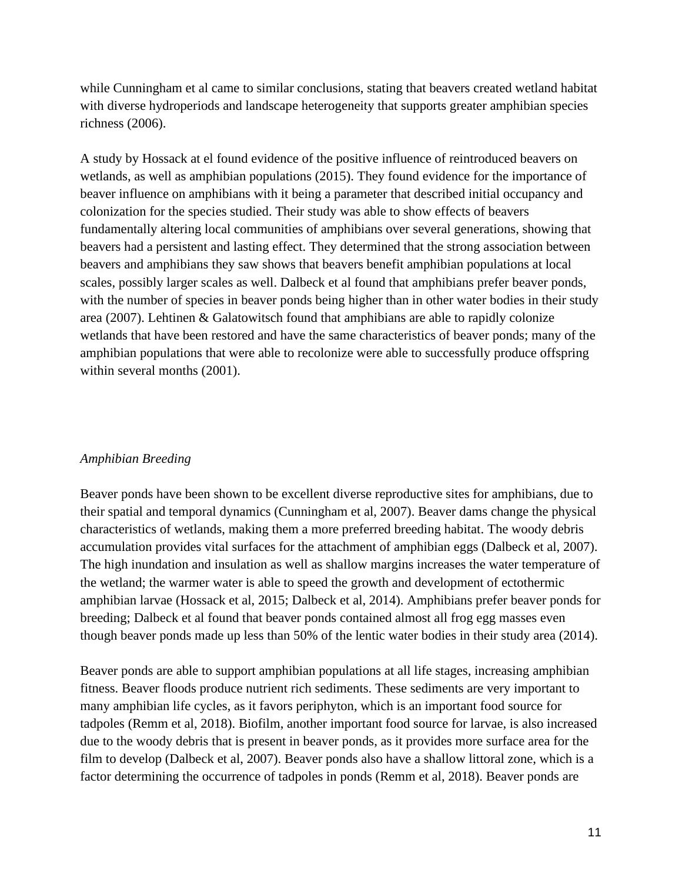while Cunningham et al came to similar conclusions, stating that beavers created wetland habitat with diverse hydroperiods and landscape heterogeneity that supports greater amphibian species richness (2006).

A study by Hossack at el found evidence of the positive influence of reintroduced beavers on wetlands, as well as amphibian populations (2015). They found evidence for the importance of beaver influence on amphibians with it being a parameter that described initial occupancy and colonization for the species studied. Their study was able to show effects of beavers fundamentally altering local communities of amphibians over several generations, showing that beavers had a persistent and lasting effect. They determined that the strong association between beavers and amphibians they saw shows that beavers benefit amphibian populations at local scales, possibly larger scales as well. Dalbeck et al found that amphibians prefer beaver ponds, with the number of species in beaver ponds being higher than in other water bodies in their study area (2007). Lehtinen & Galatowitsch found that amphibians are able to rapidly colonize wetlands that have been restored and have the same characteristics of beaver ponds; many of the amphibian populations that were able to recolonize were able to successfully produce offspring within several months (2001).

#### *Amphibian Breeding*

Beaver ponds have been shown to be excellent diverse reproductive sites for amphibians, due to their spatial and temporal dynamics (Cunningham et al, 2007). Beaver dams change the physical characteristics of wetlands, making them a more preferred breeding habitat. The woody debris accumulation provides vital surfaces for the attachment of amphibian eggs (Dalbeck et al, 2007). The high inundation and insulation as well as shallow margins increases the water temperature of the wetland; the warmer water is able to speed the growth and development of ectothermic amphibian larvae (Hossack et al, 2015; Dalbeck et al, 2014). Amphibians prefer beaver ponds for breeding; Dalbeck et al found that beaver ponds contained almost all frog egg masses even though beaver ponds made up less than 50% of the lentic water bodies in their study area (2014).

Beaver ponds are able to support amphibian populations at all life stages, increasing amphibian fitness. Beaver floods produce nutrient rich sediments. These sediments are very important to many amphibian life cycles, as it favors periphyton, which is an important food source for tadpoles (Remm et al, 2018). Biofilm, another important food source for larvae, is also increased due to the woody debris that is present in beaver ponds, as it provides more surface area for the film to develop (Dalbeck et al, 2007). Beaver ponds also have a shallow littoral zone, which is a factor determining the occurrence of tadpoles in ponds (Remm et al, 2018). Beaver ponds are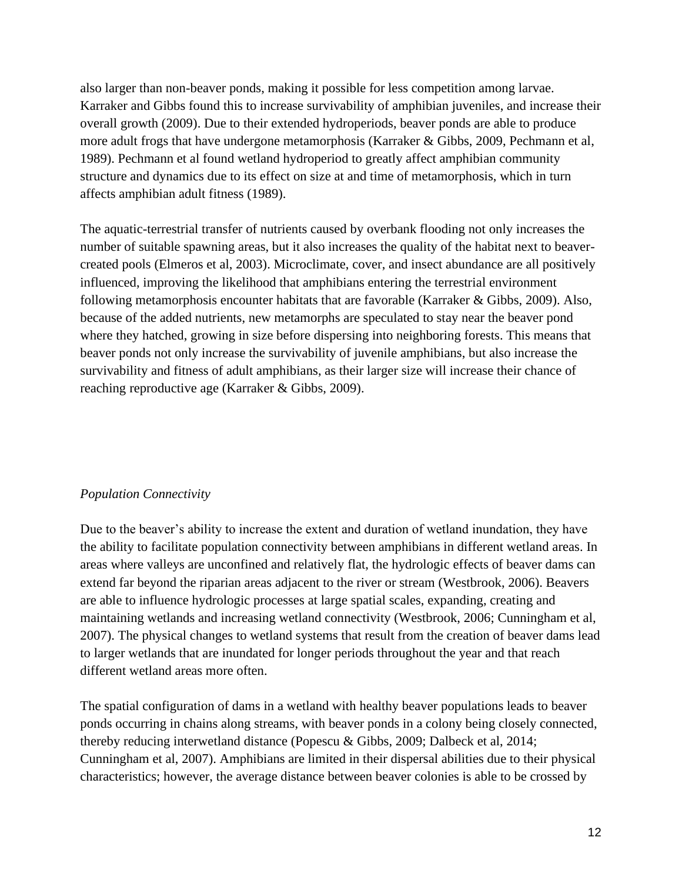also larger than non-beaver ponds, making it possible for less competition among larvae. Karraker and Gibbs found this to increase survivability of amphibian juveniles, and increase their overall growth (2009). Due to their extended hydroperiods, beaver ponds are able to produce more adult frogs that have undergone metamorphosis (Karraker & Gibbs, 2009, Pechmann et al, 1989). Pechmann et al found wetland hydroperiod to greatly affect amphibian community structure and dynamics due to its effect on size at and time of metamorphosis, which in turn affects amphibian adult fitness (1989).

The aquatic-terrestrial transfer of nutrients caused by overbank flooding not only increases the number of suitable spawning areas, but it also increases the quality of the habitat next to beavercreated pools (Elmeros et al, 2003). Microclimate, cover, and insect abundance are all positively influenced, improving the likelihood that amphibians entering the terrestrial environment following metamorphosis encounter habitats that are favorable (Karraker & Gibbs, 2009). Also, because of the added nutrients, new metamorphs are speculated to stay near the beaver pond where they hatched, growing in size before dispersing into neighboring forests. This means that beaver ponds not only increase the survivability of juvenile amphibians, but also increase the survivability and fitness of adult amphibians, as their larger size will increase their chance of reaching reproductive age (Karraker & Gibbs, 2009).

## *Population Connectivity*

Due to the beaver's ability to increase the extent and duration of wetland inundation, they have the ability to facilitate population connectivity between amphibians in different wetland areas. In areas where valleys are unconfined and relatively flat, the hydrologic effects of beaver dams can extend far beyond the riparian areas adjacent to the river or stream (Westbrook, 2006). Beavers are able to influence hydrologic processes at large spatial scales, expanding, creating and maintaining wetlands and increasing wetland connectivity (Westbrook, 2006; Cunningham et al, 2007). The physical changes to wetland systems that result from the creation of beaver dams lead to larger wetlands that are inundated for longer periods throughout the year and that reach different wetland areas more often.

The spatial configuration of dams in a wetland with healthy beaver populations leads to beaver ponds occurring in chains along streams, with beaver ponds in a colony being closely connected, thereby reducing interwetland distance (Popescu & Gibbs, 2009; Dalbeck et al, 2014; Cunningham et al, 2007). Amphibians are limited in their dispersal abilities due to their physical characteristics; however, the average distance between beaver colonies is able to be crossed by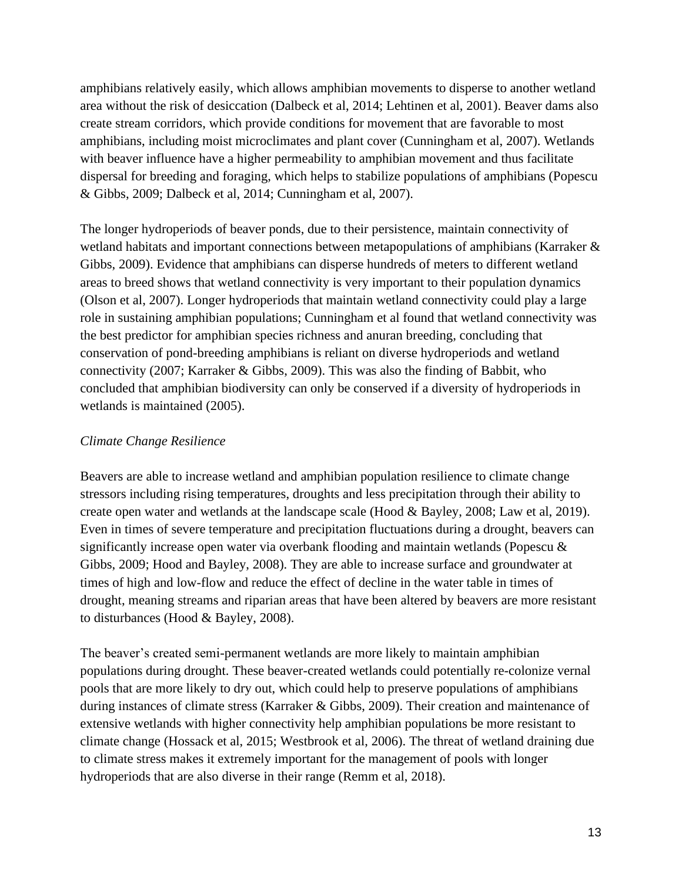amphibians relatively easily, which allows amphibian movements to disperse to another wetland area without the risk of desiccation (Dalbeck et al, 2014; Lehtinen et al, 2001). Beaver dams also create stream corridors, which provide conditions for movement that are favorable to most amphibians, including moist microclimates and plant cover (Cunningham et al, 2007). Wetlands with beaver influence have a higher permeability to amphibian movement and thus facilitate dispersal for breeding and foraging, which helps to stabilize populations of amphibians (Popescu & Gibbs, 2009; Dalbeck et al, 2014; Cunningham et al, 2007).

The longer hydroperiods of beaver ponds, due to their persistence, maintain connectivity of wetland habitats and important connections between metapopulations of amphibians (Karraker & Gibbs, 2009). Evidence that amphibians can disperse hundreds of meters to different wetland areas to breed shows that wetland connectivity is very important to their population dynamics (Olson et al, 2007). Longer hydroperiods that maintain wetland connectivity could play a large role in sustaining amphibian populations; Cunningham et al found that wetland connectivity was the best predictor for amphibian species richness and anuran breeding, concluding that conservation of pond-breeding amphibians is reliant on diverse hydroperiods and wetland connectivity (2007; Karraker & Gibbs, 2009). This was also the finding of Babbit, who concluded that amphibian biodiversity can only be conserved if a diversity of hydroperiods in wetlands is maintained (2005).

#### *Climate Change Resilience*

Beavers are able to increase wetland and amphibian population resilience to climate change stressors including rising temperatures, droughts and less precipitation through their ability to create open water and wetlands at the landscape scale (Hood & Bayley, 2008; Law et al, 2019). Even in times of severe temperature and precipitation fluctuations during a drought, beavers can significantly increase open water via overbank flooding and maintain wetlands (Popescu & Gibbs, 2009; Hood and Bayley, 2008). They are able to increase surface and groundwater at times of high and low-flow and reduce the effect of decline in the water table in times of drought, meaning streams and riparian areas that have been altered by beavers are more resistant to disturbances (Hood & Bayley, 2008).

The beaver's created semi-permanent wetlands are more likely to maintain amphibian populations during drought. These beaver-created wetlands could potentially re-colonize vernal pools that are more likely to dry out, which could help to preserve populations of amphibians during instances of climate stress (Karraker & Gibbs, 2009). Their creation and maintenance of extensive wetlands with higher connectivity help amphibian populations be more resistant to climate change (Hossack et al, 2015; Westbrook et al, 2006). The threat of wetland draining due to climate stress makes it extremely important for the management of pools with longer hydroperiods that are also diverse in their range (Remm et al, 2018).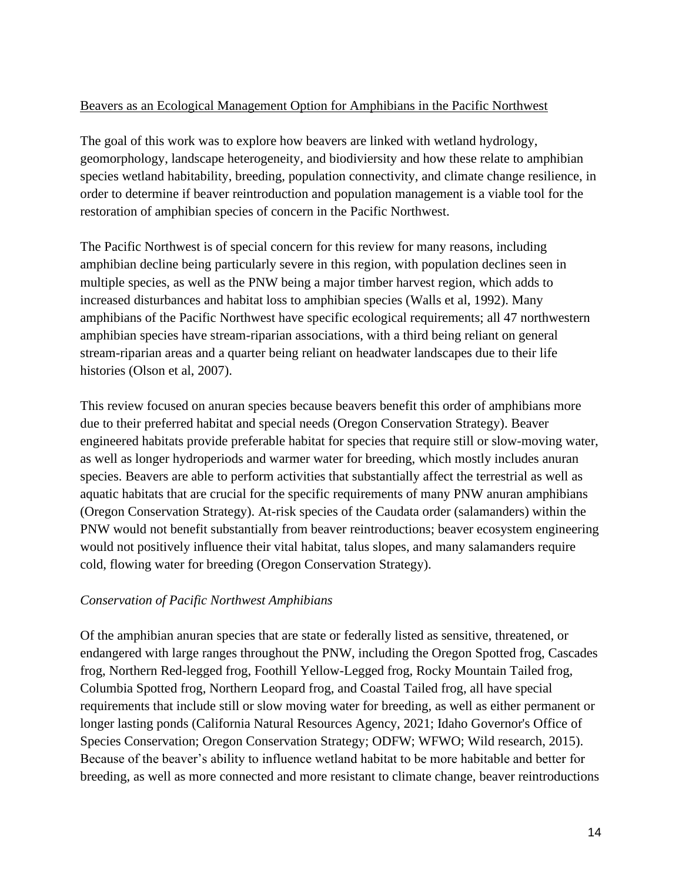#### Beavers as an Ecological Management Option for Amphibians in the Pacific Northwest

The goal of this work was to explore how beavers are linked with wetland hydrology, geomorphology, landscape heterogeneity, and biodiviersity and how these relate to amphibian species wetland habitability, breeding, population connectivity, and climate change resilience, in order to determine if beaver reintroduction and population management is a viable tool for the restoration of amphibian species of concern in the Pacific Northwest.

The Pacific Northwest is of special concern for this review for many reasons, including amphibian decline being particularly severe in this region, with population declines seen in multiple species, as well as the PNW being a major timber harvest region, which adds to increased disturbances and habitat loss to amphibian species (Walls et al, 1992). Many amphibians of the Pacific Northwest have specific ecological requirements; all 47 northwestern amphibian species have stream-riparian associations, with a third being reliant on general stream-riparian areas and a quarter being reliant on headwater landscapes due to their life histories (Olson et al, 2007).

This review focused on anuran species because beavers benefit this order of amphibians more due to their preferred habitat and special needs (Oregon Conservation Strategy). Beaver engineered habitats provide preferable habitat for species that require still or slow-moving water, as well as longer hydroperiods and warmer water for breeding, which mostly includes anuran species. Beavers are able to perform activities that substantially affect the terrestrial as well as aquatic habitats that are crucial for the specific requirements of many PNW anuran amphibians (Oregon Conservation Strategy). At-risk species of the Caudata order (salamanders) within the PNW would not benefit substantially from beaver reintroductions; beaver ecosystem engineering would not positively influence their vital habitat, talus slopes, and many salamanders require cold, flowing water for breeding (Oregon Conservation Strategy).

## *Conservation of Pacific Northwest Amphibians*

Of the amphibian anuran species that are state or federally listed as sensitive, threatened, or endangered with large ranges throughout the PNW, including the Oregon Spotted frog, Cascades frog, Northern Red-legged frog, Foothill Yellow-Legged frog, Rocky Mountain Tailed frog, Columbia Spotted frog, Northern Leopard frog, and Coastal Tailed frog, all have special requirements that include still or slow moving water for breeding, as well as either permanent or longer lasting ponds (California Natural Resources Agency, 2021; Idaho Governor's Office of Species Conservation; Oregon Conservation Strategy; ODFW; WFWO; Wild research, 2015). Because of the beaver's ability to influence wetland habitat to be more habitable and better for breeding, as well as more connected and more resistant to climate change, beaver reintroductions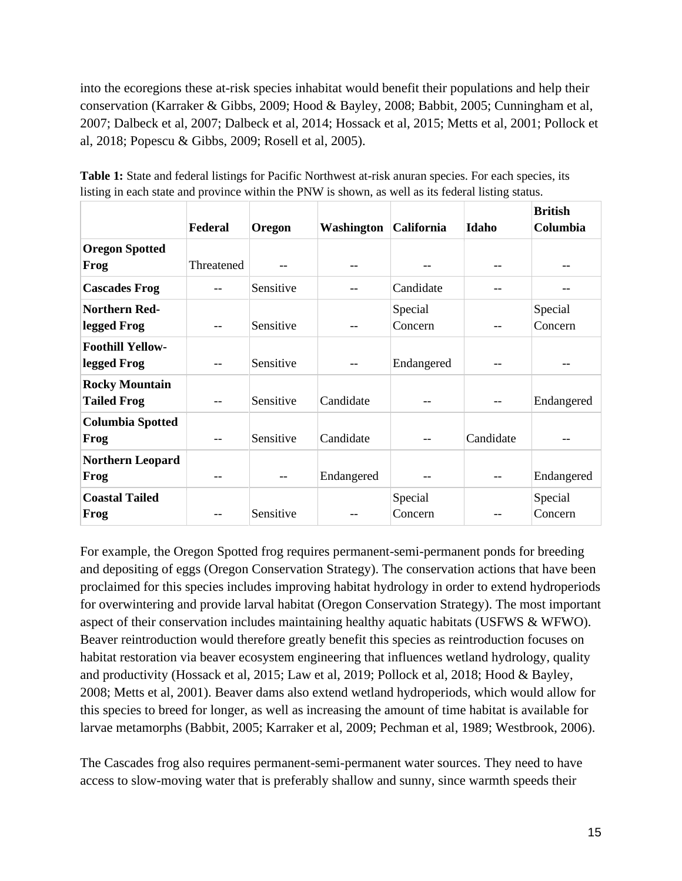into the ecoregions these at-risk species inhabitat would benefit their populations and help their conservation (Karraker & Gibbs, 2009; Hood & Bayley, 2008; Babbit, 2005; Cunningham et al, 2007; Dalbeck et al, 2007; Dalbeck et al, 2014; Hossack et al, 2015; Metts et al, 2001; Pollock et al, 2018; Popescu & Gibbs, 2009; Rosell et al, 2005).

|                         | Federal    | Oregon    | Washington | California | Idaho     | <b>British</b><br>Columbia |
|-------------------------|------------|-----------|------------|------------|-----------|----------------------------|
| <b>Oregon Spotted</b>   |            |           |            |            |           |                            |
| Frog                    | Threatened |           | --         |            | --        |                            |
| <b>Cascades Frog</b>    |            | Sensitive |            | Candidate  |           |                            |
| <b>Northern Red-</b>    |            |           |            | Special    |           | Special                    |
| legged Frog             | --         | Sensitive | --         | Concern    | --        | Concern                    |
| <b>Foothill Yellow-</b> |            |           |            |            |           |                            |
| legged Frog             | --         | Sensitive | --         | Endangered |           |                            |
| <b>Rocky Mountain</b>   |            |           |            |            |           |                            |
| <b>Tailed Frog</b>      |            | Sensitive | Candidate  |            |           | Endangered                 |
| <b>Columbia Spotted</b> |            |           |            |            |           |                            |
| Frog                    | --         | Sensitive | Candidate  |            | Candidate |                            |
| <b>Northern Leopard</b> |            |           |            |            |           |                            |
| Frog                    | --         | --        | Endangered | --         | $-$       | Endangered                 |
| <b>Coastal Tailed</b>   |            |           |            | Special    |           | Special                    |
| Frog                    |            | Sensitive |            | Concern    |           | Concern                    |

**Table 1:** State and federal listings for Pacific Northwest at-risk anuran species. For each species, its listing in each state and province within the PNW is shown, as well as its federal listing status.

For example, the Oregon Spotted frog requires permanent-semi-permanent ponds for breeding and depositing of eggs (Oregon Conservation Strategy). The conservation actions that have been proclaimed for this species includes improving habitat hydrology in order to extend hydroperiods for overwintering and provide larval habitat (Oregon Conservation Strategy). The most important aspect of their conservation includes maintaining healthy aquatic habitats (USFWS & WFWO). Beaver reintroduction would therefore greatly benefit this species as reintroduction focuses on habitat restoration via beaver ecosystem engineering that influences wetland hydrology, quality and productivity (Hossack et al, 2015; Law et al, 2019; Pollock et al, 2018; Hood & Bayley, 2008; Metts et al, 2001). Beaver dams also extend wetland hydroperiods, which would allow for this species to breed for longer, as well as increasing the amount of time habitat is available for larvae metamorphs (Babbit, 2005; Karraker et al, 2009; Pechman et al, 1989; Westbrook, 2006).

The Cascades frog also requires permanent-semi-permanent water sources. They need to have access to slow-moving water that is preferably shallow and sunny, since warmth speeds their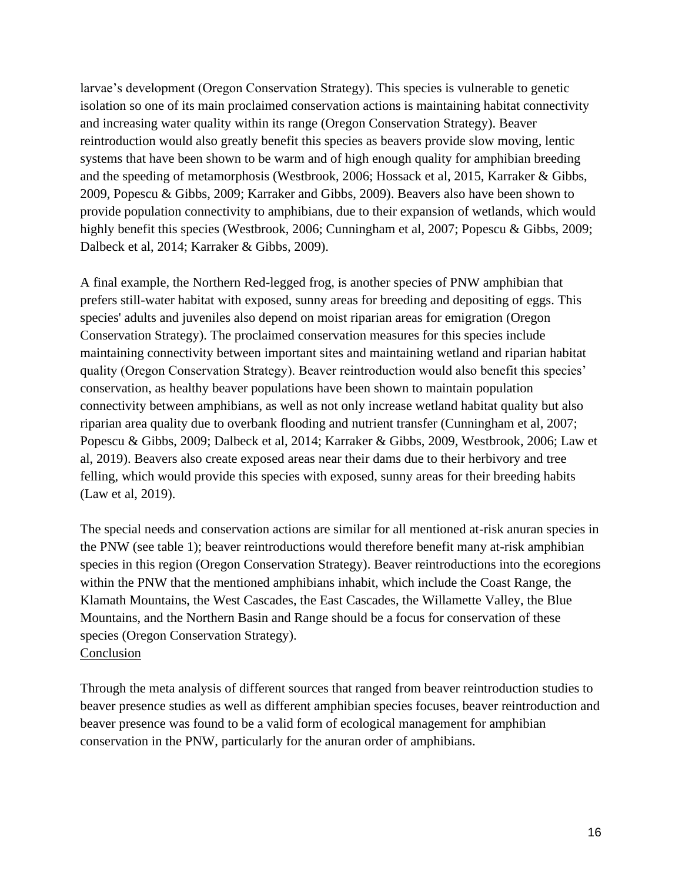larvae's development (Oregon Conservation Strategy). This species is vulnerable to genetic isolation so one of its main proclaimed conservation actions is maintaining habitat connectivity and increasing water quality within its range (Oregon Conservation Strategy). Beaver reintroduction would also greatly benefit this species as beavers provide slow moving, lentic systems that have been shown to be warm and of high enough quality for amphibian breeding and the speeding of metamorphosis (Westbrook, 2006; Hossack et al, 2015, Karraker & Gibbs, 2009, Popescu & Gibbs, 2009; Karraker and Gibbs, 2009). Beavers also have been shown to provide population connectivity to amphibians, due to their expansion of wetlands, which would highly benefit this species (Westbrook, 2006; Cunningham et al, 2007; Popescu & Gibbs, 2009; Dalbeck et al, 2014; Karraker & Gibbs, 2009).

A final example, the Northern Red-legged frog, is another species of PNW amphibian that prefers still-water habitat with exposed, sunny areas for breeding and depositing of eggs. This species' adults and juveniles also depend on moist riparian areas for emigration (Oregon Conservation Strategy). The proclaimed conservation measures for this species include maintaining connectivity between important sites and maintaining wetland and riparian habitat quality (Oregon Conservation Strategy). Beaver reintroduction would also benefit this species' conservation, as healthy beaver populations have been shown to maintain population connectivity between amphibians, as well as not only increase wetland habitat quality but also riparian area quality due to overbank flooding and nutrient transfer (Cunningham et al, 2007; Popescu & Gibbs, 2009; Dalbeck et al, 2014; Karraker & Gibbs, 2009, Westbrook, 2006; Law et al, 2019). Beavers also create exposed areas near their dams due to their herbivory and tree felling, which would provide this species with exposed, sunny areas for their breeding habits (Law et al, 2019).

The special needs and conservation actions are similar for all mentioned at-risk anuran species in the PNW (see table 1); beaver reintroductions would therefore benefit many at-risk amphibian species in this region (Oregon Conservation Strategy). Beaver reintroductions into the ecoregions within the PNW that the mentioned amphibians inhabit, which include the Coast Range, the Klamath Mountains, the West Cascades, the East Cascades, the Willamette Valley, the Blue Mountains, and the Northern Basin and Range should be a focus for conservation of these species (Oregon Conservation Strategy). Conclusion

Through the meta analysis of different sources that ranged from beaver reintroduction studies to beaver presence studies as well as different amphibian species focuses, beaver reintroduction and beaver presence was found to be a valid form of ecological management for amphibian conservation in the PNW, particularly for the anuran order of amphibians.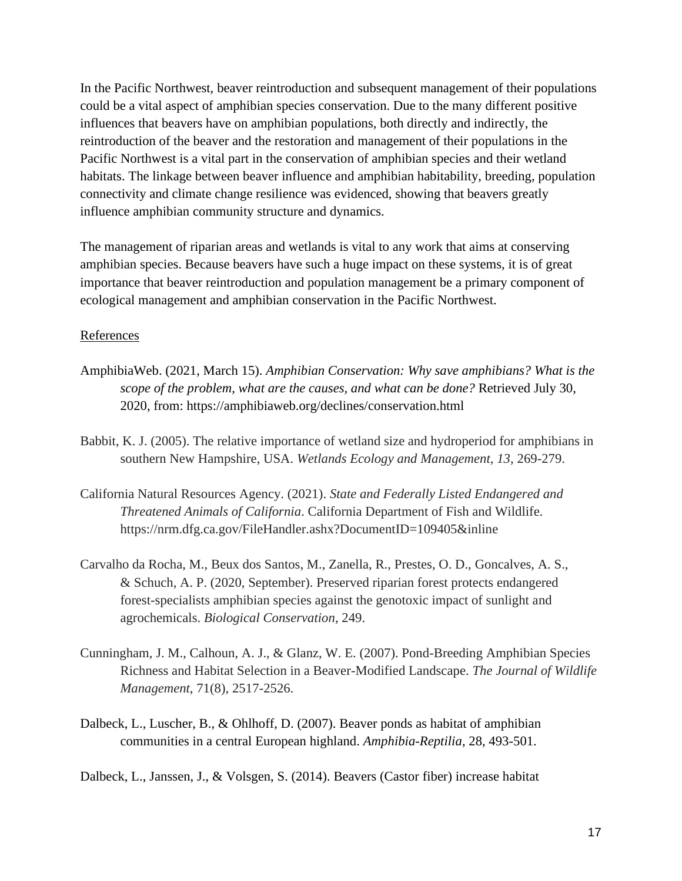In the Pacific Northwest, beaver reintroduction and subsequent management of their populations could be a vital aspect of amphibian species conservation. Due to the many different positive influences that beavers have on amphibian populations, both directly and indirectly, the reintroduction of the beaver and the restoration and management of their populations in the Pacific Northwest is a vital part in the conservation of amphibian species and their wetland habitats. The linkage between beaver influence and amphibian habitability, breeding, population connectivity and climate change resilience was evidenced, showing that beavers greatly influence amphibian community structure and dynamics.

The management of riparian areas and wetlands is vital to any work that aims at conserving amphibian species. Because beavers have such a huge impact on these systems, it is of great importance that beaver reintroduction and population management be a primary component of ecological management and amphibian conservation in the Pacific Northwest.

#### References

- AmphibiaWeb. (2021, March 15). *Amphibian Conservation: Why save amphibians? What is the scope of the problem, what are the causes, and what can be done?* Retrieved July 30, 2020, from: https://amphibiaweb.org/declines/conservation.html
- Babbit, K. J. (2005). The relative importance of wetland size and hydroperiod for amphibians in southern New Hampshire, USA. *Wetlands Ecology and Management*, *13*, 269-279.
- California Natural Resources Agency. (2021). *State and Federally Listed Endangered and Threatened Animals of California*. California Department of Fish and Wildlife. https://nrm.dfg.ca.gov/FileHandler.ashx?DocumentID=109405&inline
- Carvalho da Rocha, M., Beux dos Santos, M., Zanella, R., Prestes, O. D., Goncalves, A. S., & Schuch, A. P. (2020, September). Preserved riparian forest protects endangered forest-specialists amphibian species against the genotoxic impact of sunlight and agrochemicals. *Biological Conservation*, 249.
- Cunningham, J. M., Calhoun, A. J., & Glanz, W. E. (2007). Pond-Breeding Amphibian Species Richness and Habitat Selection in a Beaver-Modified Landscape. *The Journal of Wildlife Management*, 71(8), 2517-2526.
- Dalbeck, L., Luscher, B., & Ohlhoff, D. (2007). Beaver ponds as habitat of amphibian communities in a central European highland. *Amphibia-Reptilia*, 28, 493-501.

Dalbeck, L., Janssen, J., & Volsgen, S. (2014). Beavers (Castor fiber) increase habitat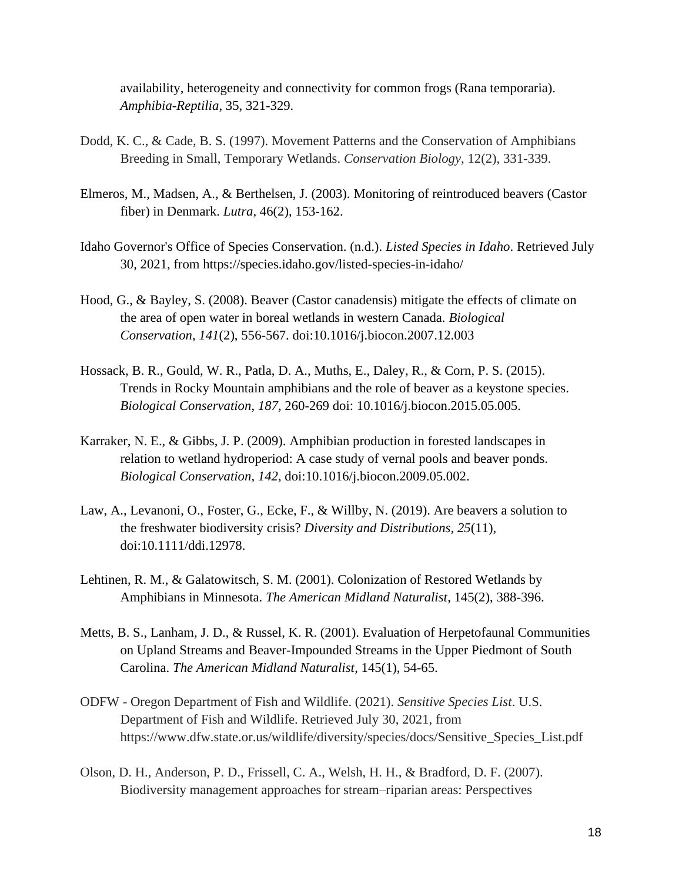availability, heterogeneity and connectivity for common frogs (Rana temporaria). *Amphibia-Reptilia*, 35, 321-329.

- Dodd, K. C., & Cade, B. S. (1997). Movement Patterns and the Conservation of Amphibians Breeding in Small, Temporary Wetlands. *Conservation Biology*, 12(2), 331-339.
- Elmeros, M., Madsen, A., & Berthelsen, J. (2003). Monitoring of reintroduced beavers (Castor fiber) in Denmark. *Lutra*, 46(2), 153-162.
- Idaho Governor's Office of Species Conservation. (n.d.). *Listed Species in Idaho*. Retrieved July 30, 2021, from https://species.idaho.gov/listed-species-in-idaho/
- Hood, G., & Bayley, S. (2008). Beaver (Castor canadensis) mitigate the effects of climate on the area of open water in boreal wetlands in western Canada. *Biological Conservation*, *141*(2), 556-567. doi:10.1016/j.biocon.2007.12.003
- Hossack, B. R., Gould, W. R., Patla, D. A., Muths, E., Daley, R., & Corn, P. S. (2015). Trends in Rocky Mountain amphibians and the role of beaver as a keystone species. *Biological Conservation*, *187*, 260-269 doi: 10.1016/j.biocon.2015.05.005.
- Karraker, N. E., & Gibbs, J. P. (2009). Amphibian production in forested landscapes in relation to wetland hydroperiod: A case study of vernal pools and beaver ponds. *Biological Conservation*, *142*, doi:10.1016/j.biocon.2009.05.002.
- Law, A., Levanoni, O., Foster, G., Ecke, F., & Willby, N. (2019). Are beavers a solution to the freshwater biodiversity crisis? *Diversity and Distributions*, *25*(11), doi:10.1111/ddi.12978.
- Lehtinen, R. M., & Galatowitsch, S. M. (2001). Colonization of Restored Wetlands by Amphibians in Minnesota. *The American Midland Naturalist*, 145(2), 388-396.
- Metts, B. S., Lanham, J. D., & Russel, K. R. (2001). Evaluation of Herpetofaunal Communities on Upland Streams and Beaver-Impounded Streams in the Upper Piedmont of South Carolina. *The American Midland Naturalist*, 145(1), 54-65.
- ODFW Oregon Department of Fish and Wildlife. (2021). *Sensitive Species List*. U.S. Department of Fish and Wildlife. Retrieved July 30, 2021, from https://www.dfw.state.or.us/wildlife/diversity/species/docs/Sensitive\_Species\_List.pdf
- Olson, D. H., Anderson, P. D., Frissell, C. A., Welsh, H. H., & Bradford, D. F. (2007). Biodiversity management approaches for stream–riparian areas: Perspectives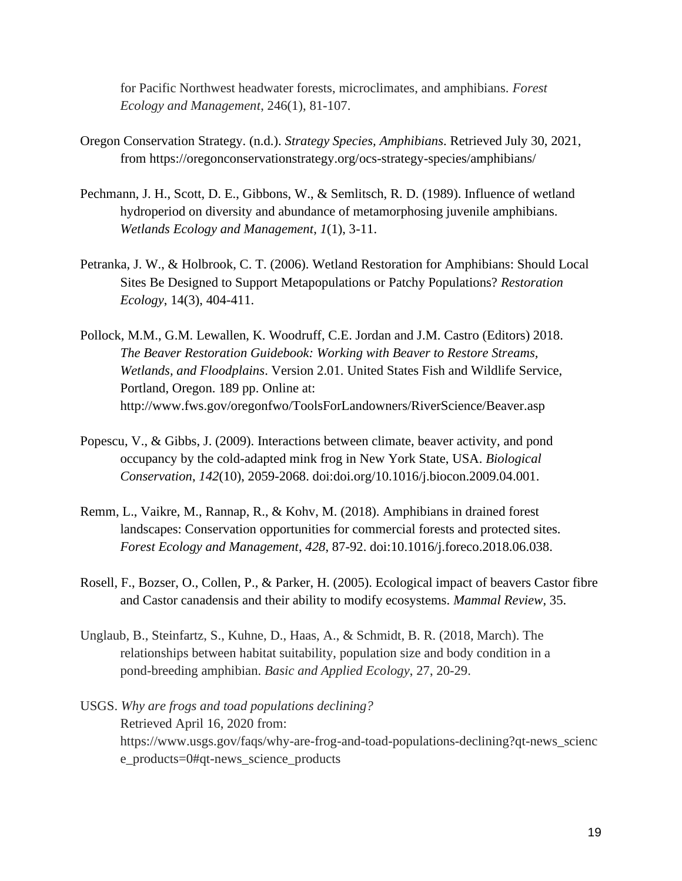for Pacific Northwest headwater forests, microclimates, and amphibians. *Forest Ecology and Management*, 246(1), 81-107.

- Oregon Conservation Strategy. (n.d.). *Strategy Species, Amphibians*. Retrieved July 30, 2021, from https://oregonconservationstrategy.org/ocs-strategy-species/amphibians/
- Pechmann, J. H., Scott, D. E., Gibbons, W., & Semlitsch, R. D. (1989). Influence of wetland hydroperiod on diversity and abundance of metamorphosing juvenile amphibians. *Wetlands Ecology and Management*, *1*(1), 3-11.
- Petranka, J. W., & Holbrook, C. T. (2006). Wetland Restoration for Amphibians: Should Local Sites Be Designed to Support Metapopulations or Patchy Populations? *Restoration Ecology*, 14(3), 404-411.
- Pollock, M.M., G.M. Lewallen, K. Woodruff, C.E. Jordan and J.M. Castro (Editors) 2018. *The Beaver Restoration Guidebook: Working with Beaver to Restore Streams, Wetlands, and Floodplains*. Version 2.01. United States Fish and Wildlife Service, Portland, Oregon. 189 pp. Online at: http://www.fws.gov/oregonfwo/ToolsForLandowners/RiverScience/Beaver.asp
- Popescu, V., & Gibbs, J. (2009). Interactions between climate, beaver activity, and pond occupancy by the cold-adapted mink frog in New York State, USA. *Biological Conservation*, *142*(10), 2059-2068. doi:doi.org/10.1016/j.biocon.2009.04.001.
- Remm, L., Vaikre, M., Rannap, R., & Kohv, M. (2018). Amphibians in drained forest landscapes: Conservation opportunities for commercial forests and protected sites. *Forest Ecology and Management*, *428*, 87-92. doi:10.1016/j.foreco.2018.06.038.
- Rosell, F., Bozser, O., Collen, P., & Parker, H. (2005). Ecological impact of beavers Castor fibre and Castor canadensis and their ability to modify ecosystems. *Mammal Review*, 35.
- Unglaub, B., Steinfartz, S., Kuhne, D., Haas, A., & Schmidt, B. R. (2018, March). The relationships between habitat suitability, population size and body condition in a pond-breeding amphibian. *Basic and Applied Ecology*, 27, 20-29.
- USGS. *Why are frogs and toad populations declining?* Retrieved April 16, 2020 from: https://www.usgs.gov/faqs/why-are-frog-and-toad-populations-declining?qt-news\_scienc e\_products=0#qt-news\_science\_products